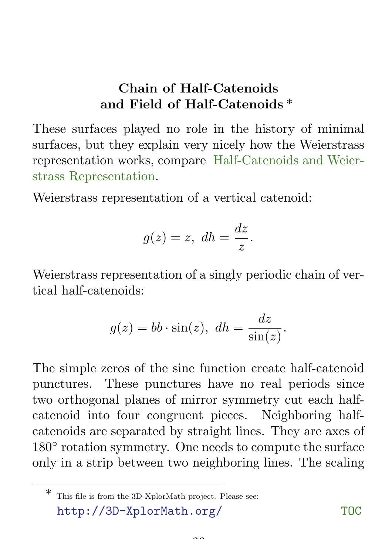## Chain of Half-Catenoids and Field of Half-Catenoids \*

These surfaces played no role in the history of minimal surfaces, but they explain very nicely how the Weierstrass representation works, compare Half-Catenoids and Weierstrass Representation.

Weierstrass representation of a vertical catenoid:

$$
g(z) = z, \ dh = \frac{dz}{z}.
$$

Weierstrass representation of a singly periodic chain of vertical half-catenoids:

$$
g(z) = bb \cdot \sin(z), \ dh = \frac{dz}{\sin(z)}.
$$

The simple zeros of the sine function create half-catenoid punctures. These punctures have no real periods since two orthogonal planes of mirror symmetry cut each halfcatenoid into four congruent pieces. Neighboring halfcatenoids are separated by straight lines. They are axes of 180◦ rotation symmetry. One needs to compute the surface only in a strip between two neighboring lines. The scaling

<sup>\*</sup> This file is from the 3D-XplorMath project. Please see: http://3D-XplorMath.org/ TOC